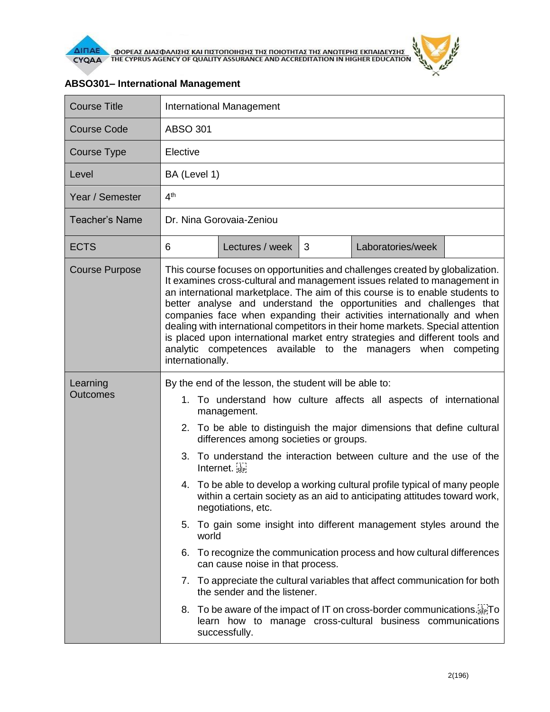



## **ABSO301– International Management**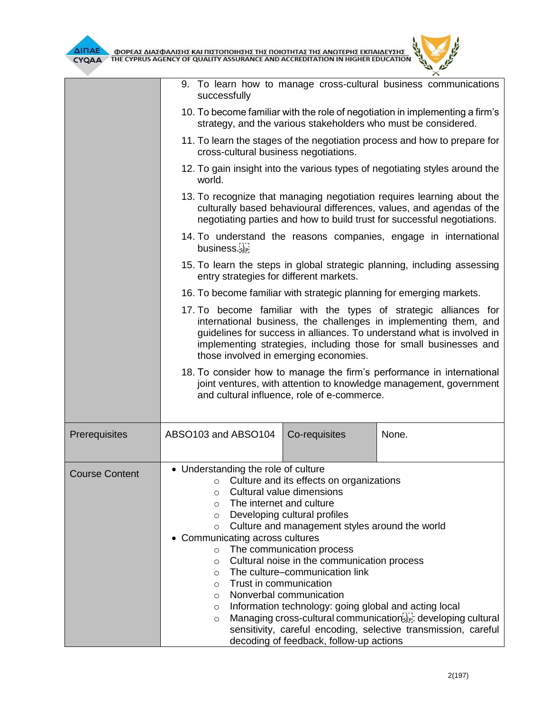

|                       | 9. To learn how to manage cross-cultural business communications<br>successfully                                                                                                                                                                                                                                                                                                                                                                                                                                                                                                                                                                                                     |
|-----------------------|--------------------------------------------------------------------------------------------------------------------------------------------------------------------------------------------------------------------------------------------------------------------------------------------------------------------------------------------------------------------------------------------------------------------------------------------------------------------------------------------------------------------------------------------------------------------------------------------------------------------------------------------------------------------------------------|
|                       | 10. To become familiar with the role of negotiation in implementing a firm's<br>strategy, and the various stakeholders who must be considered.                                                                                                                                                                                                                                                                                                                                                                                                                                                                                                                                       |
|                       | 11. To learn the stages of the negotiation process and how to prepare for<br>cross-cultural business negotiations.                                                                                                                                                                                                                                                                                                                                                                                                                                                                                                                                                                   |
|                       | 12. To gain insight into the various types of negotiating styles around the<br>world.                                                                                                                                                                                                                                                                                                                                                                                                                                                                                                                                                                                                |
|                       | 13. To recognize that managing negotiation requires learning about the<br>culturally based behavioural differences, values, and agendas of the<br>negotiating parties and how to build trust for successful negotiations.                                                                                                                                                                                                                                                                                                                                                                                                                                                            |
|                       | 14. To understand the reasons companies, engage in international<br>business.                                                                                                                                                                                                                                                                                                                                                                                                                                                                                                                                                                                                        |
|                       | 15. To learn the steps in global strategic planning, including assessing<br>entry strategies for different markets.                                                                                                                                                                                                                                                                                                                                                                                                                                                                                                                                                                  |
|                       | 16. To become familiar with strategic planning for emerging markets.                                                                                                                                                                                                                                                                                                                                                                                                                                                                                                                                                                                                                 |
|                       | 17. To become familiar with the types of strategic alliances for<br>international business, the challenges in implementing them, and<br>guidelines for success in alliances. To understand what is involved in<br>implementing strategies, including those for small businesses and<br>those involved in emerging economies.                                                                                                                                                                                                                                                                                                                                                         |
|                       | 18. To consider how to manage the firm's performance in international<br>joint ventures, with attention to knowledge management, government<br>and cultural influence, role of e-commerce.                                                                                                                                                                                                                                                                                                                                                                                                                                                                                           |
| Prerequisites         | None.<br>ABSO103 and ABSO104<br>Co-requisites                                                                                                                                                                                                                                                                                                                                                                                                                                                                                                                                                                                                                                        |
| <b>Course Content</b> | • Understanding the role of culture<br>○ Culture and its effects on organizations<br>Cultural value dimensions<br>$\circ$<br>The internet and culture<br>$\circ$<br>Developing cultural profiles<br>$\circ$<br>Culture and management styles around the world<br>$\circ$<br>• Communicating across cultures<br>The communication process<br>$\circ$<br>Cultural noise in the communication process<br>$\circ$<br>The culture-communication link<br>$\circ$<br>Trust in communication<br>$\circ$<br>Nonverbal communication<br>$\circ$<br>Information technology: going global and acting local<br>$\circ$<br>Managing cross-cultural communication E. developing cultural<br>$\circ$ |
|                       | sensitivity, careful encoding, selective transmission, careful<br>decoding of feedback, follow-up actions                                                                                                                                                                                                                                                                                                                                                                                                                                                                                                                                                                            |

 $\mu$  $\mathbb{\times}$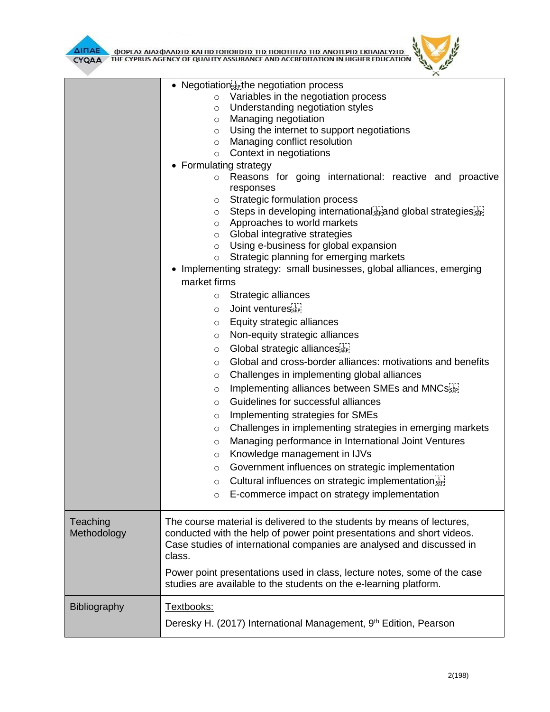



|              | • Negotiation sepithe negotiation process                                                                                                     |
|--------------|-----------------------------------------------------------------------------------------------------------------------------------------------|
|              | Variables in the negotiation process<br>$\circ$                                                                                               |
|              | Understanding negotiation styles<br>O                                                                                                         |
|              | Managing negotiation<br>O                                                                                                                     |
|              | Using the internet to support negotiations<br>$\circ$                                                                                         |
|              | Managing conflict resolution<br>$\circ$                                                                                                       |
|              | Context in negotiations<br>$\circ$                                                                                                            |
|              | • Formulating strategy                                                                                                                        |
|              | Reasons for going international: reactive and proactive<br>$\circ$<br>responses                                                               |
|              | Strategic formulation process<br>$\circ$                                                                                                      |
|              | Steps in developing internationalserand global strategies it<br>$\circ$                                                                       |
|              | Approaches to world markets<br>$\circ$                                                                                                        |
|              | Global integrative strategies<br>$\circ$                                                                                                      |
|              | Using e-business for global expansion<br>$\circ$                                                                                              |
|              | Strategic planning for emerging markets<br>$\circ$                                                                                            |
|              | Implementing strategy: small businesses, global alliances, emerging                                                                           |
|              | market firms                                                                                                                                  |
|              | Strategic alliances<br>$\circ$                                                                                                                |
|              | Joint ventures<br>$\circ$                                                                                                                     |
|              | Equity strategic alliances<br>$\circ$                                                                                                         |
|              | Non-equity strategic alliances<br>$\circ$                                                                                                     |
|              | Global strategic alliances<br>$\circ$                                                                                                         |
|              | Global and cross-border alliances: motivations and benefits<br>$\circ$                                                                        |
|              | Challenges in implementing global alliances<br>O                                                                                              |
|              | Implementing alliances between SMEs and MNCs<br>$\circ$                                                                                       |
|              | Guidelines for successful alliances<br>$\circ$                                                                                                |
|              | Implementing strategies for SMEs<br>O                                                                                                         |
|              | Challenges in implementing strategies in emerging markets<br>O                                                                                |
|              | Managing performance in International Joint Ventures<br>O                                                                                     |
|              | Knowledge management in IJVs<br>$\circ$                                                                                                       |
|              | Government influences on strategic implementation<br>$\circ$                                                                                  |
|              | Cultural influences on strategic implementation<br>$\circ$                                                                                    |
|              | E-commerce impact on strategy implementation<br>$\circ$                                                                                       |
| Teaching     | The course material is delivered to the students by means of lectures,                                                                        |
| Methodology  | conducted with the help of power point presentations and short videos.                                                                        |
|              | Case studies of international companies are analysed and discussed in                                                                         |
|              | class.                                                                                                                                        |
|              |                                                                                                                                               |
|              | Power point presentations used in class, lecture notes, some of the case<br>studies are available to the students on the e-learning platform. |
|              |                                                                                                                                               |
| Bibliography | Textbooks:                                                                                                                                    |
|              | Deresky H. (2017) International Management, 9 <sup>th</sup> Edition, Pearson                                                                  |
|              |                                                                                                                                               |